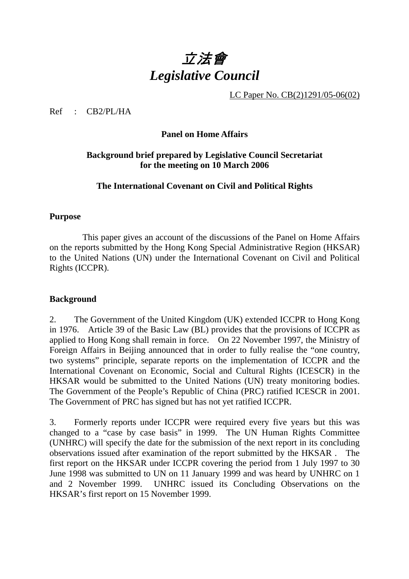# 立法會 *Legislative Council*

LC Paper No. CB(2)1291/05-06(02)

Ref : CB2/PL/HA

### **Panel on Home Affairs**

## **Background brief prepared by Legislative Council Secretariat for the meeting on 10 March 2006**

#### **The International Covenant on Civil and Political Rights**

#### **Purpose**

This paper gives an account of the discussions of the Panel on Home Affairs on the reports submitted by the Hong Kong Special Administrative Region (HKSAR) to the United Nations (UN) under the International Covenant on Civil and Political Rights (ICCPR).

### **Background**

2. The Government of the United Kingdom (UK) extended ICCPR to Hong Kong in 1976. Article 39 of the Basic Law (BL) provides that the provisions of ICCPR as applied to Hong Kong shall remain in force. On 22 November 1997, the Ministry of Foreign Affairs in Beijing announced that in order to fully realise the "one country, two systems" principle, separate reports on the implementation of ICCPR and the International Covenant on Economic, Social and Cultural Rights (ICESCR) in the HKSAR would be submitted to the United Nations (UN) treaty monitoring bodies. The Government of the People's Republic of China (PRC) ratified ICESCR in 2001. The Government of PRC has signed but has not yet ratified ICCPR.

3. Formerly reports under ICCPR were required every five years but this was changed to a "case by case basis" in 1999. The UN Human Rights Committee (UNHRC) will specify the date for the submission of the next report in its concluding observations issued after examination of the report submitted by the HKSAR . The first report on the HKSAR under ICCPR covering the period from 1 July 1997 to 30 June 1998 was submitted to UN on 11 January 1999 and was heard by UNHRC on 1 and 2 November 1999. UNHRC issued its Concluding Observations on the HKSAR's first report on 15 November 1999.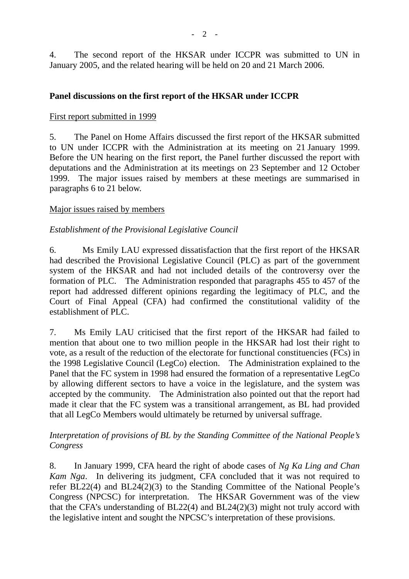4. The second report of the HKSAR under ICCPR was submitted to UN in January 2005, and the related hearing will be held on 20 and 21 March 2006.

#### **Panel discussions on the first report of the HKSAR under ICCPR**

#### First report submitted in 1999

5. The Panel on Home Affairs discussed the first report of the HKSAR submitted to UN under ICCPR with the Administration at its meeting on 21 January 1999. Before the UN hearing on the first report, the Panel further discussed the report with deputations and the Administration at its meetings on 23 September and 12 October 1999. The major issues raised by members at these meetings are summarised in paragraphs 6 to 21 below.

#### Major issues raised by members

### *Establishment of the Provisional Legislative Council*

6. Ms Emily LAU expressed dissatisfaction that the first report of the HKSAR had described the Provisional Legislative Council (PLC) as part of the government system of the HKSAR and had not included details of the controversy over the formation of PLC. The Administration responded that paragraphs 455 to 457 of the report had addressed different opinions regarding the legitimacy of PLC, and the Court of Final Appeal (CFA) had confirmed the constitutional validity of the establishment of PLC.

7. Ms Emily LAU criticised that the first report of the HKSAR had failed to mention that about one to two million people in the HKSAR had lost their right to vote, as a result of the reduction of the electorate for functional constituencies (FCs) in the 1998 Legislative Council (LegCo) election. The Administration explained to the Panel that the FC system in 1998 had ensured the formation of a representative LegCo by allowing different sectors to have a voice in the legislature, and the system was accepted by the community. The Administration also pointed out that the report had made it clear that the FC system was a transitional arrangement, as BL had provided that all LegCo Members would ultimately be returned by universal suffrage.

### *Interpretation of provisions of BL by the Standing Committee of the National People's Congress*

8. In January 1999, CFA heard the right of abode cases of *Ng Ka Ling and Chan Kam Nga*. In delivering its judgment, CFA concluded that it was not required to refer BL22(4) and BL24(2)(3) to the Standing Committee of the National People's Congress (NPCSC) for interpretation. The HKSAR Government was of the view that the CFA's understanding of BL22(4) and BL24(2)(3) might not truly accord with the legislative intent and sought the NPCSC's interpretation of these provisions.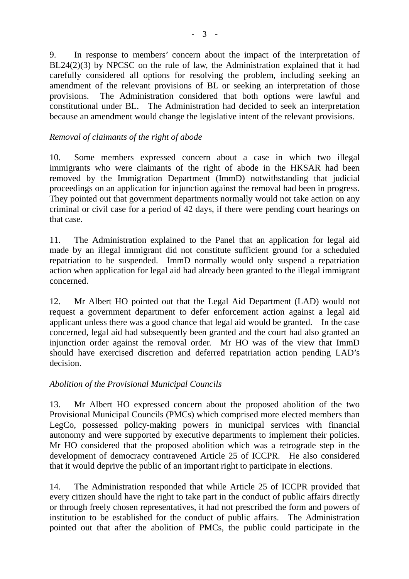9. In response to members' concern about the impact of the interpretation of BL24(2)(3) by NPCSC on the rule of law, the Administration explained that it had carefully considered all options for resolving the problem, including seeking an amendment of the relevant provisions of BL or seeking an interpretation of those provisions. The Administration considered that both options were lawful and constitutional under BL. The Administration had decided to seek an interpretation because an amendment would change the legislative intent of the relevant provisions.

## *Removal of claimants of the right of abode*

10. Some members expressed concern about a case in which two illegal immigrants who were claimants of the right of abode in the HKSAR had been removed by the Immigration Department (ImmD) notwithstanding that judicial proceedings on an application for injunction against the removal had been in progress. They pointed out that government departments normally would not take action on any criminal or civil case for a period of 42 days, if there were pending court hearings on that case.

11. The Administration explained to the Panel that an application for legal aid made by an illegal immigrant did not constitute sufficient ground for a scheduled repatriation to be suspended. ImmD normally would only suspend a repatriation action when application for legal aid had already been granted to the illegal immigrant concerned.

12. Mr Albert HO pointed out that the Legal Aid Department (LAD) would not request a government department to defer enforcement action against a legal aid applicant unless there was a good chance that legal aid would be granted. In the case concerned, legal aid had subsequently been granted and the court had also granted an injunction order against the removal order. Mr HO was of the view that ImmD should have exercised discretion and deferred repatriation action pending LAD's decision.

### *Abolition of the Provisional Municipal Councils*

13. Mr Albert HO expressed concern about the proposed abolition of the two Provisional Municipal Councils (PMCs) which comprised more elected members than LegCo, possessed policy-making powers in municipal services with financial autonomy and were supported by executive departments to implement their policies. Mr HO considered that the proposed abolition which was a retrograde step in the development of democracy contravened Article 25 of ICCPR. He also considered that it would deprive the public of an important right to participate in elections.

14. The Administration responded that while Article 25 of ICCPR provided that every citizen should have the right to take part in the conduct of public affairs directly or through freely chosen representatives, it had not prescribed the form and powers of institution to be established for the conduct of public affairs. The Administration pointed out that after the abolition of PMCs, the public could participate in the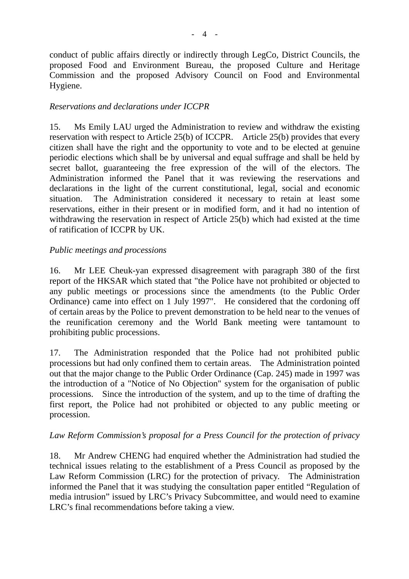conduct of public affairs directly or indirectly through LegCo, District Councils, the proposed Food and Environment Bureau, the proposed Culture and Heritage Commission and the proposed Advisory Council on Food and Environmental Hygiene.

## *Reservations and declarations under ICCPR*

15. Ms Emily LAU urged the Administration to review and withdraw the existing reservation with respect to Article 25(b) of ICCPR. Article 25(b) provides that every citizen shall have the right and the opportunity to vote and to be elected at genuine periodic elections which shall be by universal and equal suffrage and shall be held by secret ballot, guaranteeing the free expression of the will of the electors. The Administration informed the Panel that it was reviewing the reservations and declarations in the light of the current constitutional, legal, social and economic situation. The Administration considered it necessary to retain at least some reservations, either in their present or in modified form, and it had no intention of withdrawing the reservation in respect of Article 25(b) which had existed at the time of ratification of ICCPR by UK.

### *Public meetings and processions*

16. Mr LEE Cheuk-yan expressed disagreement with paragraph 380 of the first report of the HKSAR which stated that "the Police have not prohibited or objected to any public meetings or processions since the amendments (to the Public Order Ordinance) came into effect on 1 July 1997". He considered that the cordoning off of certain areas by the Police to prevent demonstration to be held near to the venues of the reunification ceremony and the World Bank meeting were tantamount to prohibiting public processions.

17. The Administration responded that the Police had not prohibited public processions but had only confined them to certain areas. The Administration pointed out that the major change to the Public Order Ordinance (Cap. 245) made in 1997 was the introduction of a "Notice of No Objection" system for the organisation of public processions. Since the introduction of the system, and up to the time of drafting the first report, the Police had not prohibited or objected to any public meeting or procession.

### *Law Reform Commission's proposal for a Press Council for the protection of privacy*

18. Mr Andrew CHENG had enquired whether the Administration had studied the technical issues relating to the establishment of a Press Council as proposed by the Law Reform Commission (LRC) for the protection of privacy. The Administration informed the Panel that it was studying the consultation paper entitled "Regulation of media intrusion" issued by LRC's Privacy Subcommittee, and would need to examine LRC's final recommendations before taking a view.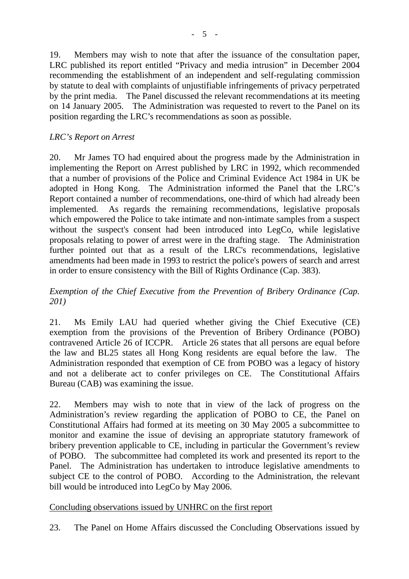19. Members may wish to note that after the issuance of the consultation paper, LRC published its report entitled "Privacy and media intrusion" in December 2004 recommending the establishment of an independent and self-regulating commission by statute to deal with complaints of unjustifiable infringements of privacy perpetrated by the print media. The Panel discussed the relevant recommendations at its meeting on 14 January 2005. The Administration was requested to revert to the Panel on its position regarding the LRC's recommendations as soon as possible.

## *LRC's Report on Arrest*

20. Mr James TO had enquired about the progress made by the Administration in implementing the Report on Arrest published by LRC in 1992, which recommended that a number of provisions of the Police and Criminal Evidence Act 1984 in UK be adopted in Hong Kong. The Administration informed the Panel that the LRC's Report contained a number of recommendations, one-third of which had already been implemented. As regards the remaining recommendations, legislative proposals which empowered the Police to take intimate and non-intimate samples from a suspect without the suspect's consent had been introduced into LegCo, while legislative proposals relating to power of arrest were in the drafting stage. The Administration further pointed out that as a result of the LRC's recommendations, legislative amendments had been made in 1993 to restrict the police's powers of search and arrest in order to ensure consistency with the Bill of Rights Ordinance (Cap. 383).

*Exemption of the Chief Executive from the Prevention of Bribery Ordinance (Cap. 201)* 

21. Ms Emily LAU had queried whether giving the Chief Executive (CE) exemption from the provisions of the Prevention of Bribery Ordinance (POBO) contravened Article 26 of ICCPR. Article 26 states that all persons are equal before the law and BL25 states all Hong Kong residents are equal before the law. The Administration responded that exemption of CE from POBO was a legacy of history and not a deliberate act to confer privileges on CE. The Constitutional Affairs Bureau (CAB) was examining the issue.

22. Members may wish to note that in view of the lack of progress on the Administration's review regarding the application of POBO to CE, the Panel on Constitutional Affairs had formed at its meeting on 30 May 2005 a subcommittee to monitor and examine the issue of devising an appropriate statutory framework of bribery prevention applicable to CE, including in particular the Government's review of POBO. The subcommittee had completed its work and presented its report to the Panel. The Administration has undertaken to introduce legislative amendments to subject CE to the control of POBO. According to the Administration, the relevant bill would be introduced into LegCo by May 2006.

### Concluding observations issued by UNHRC on the first report

23. The Panel on Home Affairs discussed the Concluding Observations issued by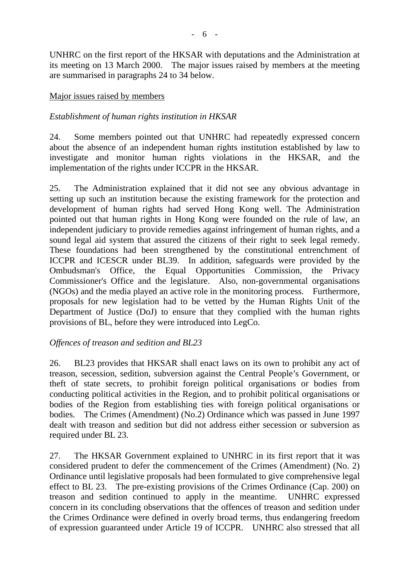UNHRC on the first report of the HKSAR with deputations and the Administration at its meeting on 13 March 2000. The major issues raised by members at the meeting are summarised in paragraphs 24 to 34 below.

#### Major issues raised by members

#### *Establishment of human rights institution in HKSAR*

24. Some members pointed out that UNHRC had repeatedly expressed concern about the absence of an independent human rights institution established by law to investigate and monitor human rights violations in the HKSAR, and the implementation of the rights under ICCPR in the HKSAR.

25. The Administration explained that it did not see any obvious advantage in setting up such an institution because the existing framework for the protection and development of human rights had served Hong Kong well. The Administration pointed out that human rights in Hong Kong were founded on the rule of law, an independent judiciary to provide remedies against infringement of human rights, and a sound legal aid system that assured the citizens of their right to seek legal remedy. These foundations had been strengthened by the constitutional entrenchment of ICCPR and ICESCR under BL39. In addition, safeguards were provided by the Ombudsman's Office, the Equal Opportunities Commission, the Privacy Commissioner's Office and the legislature. Also, non-governmental organisations (NGOs) and the media played an active role in the monitoring process. Furthermore, proposals for new legislation had to be vetted by the Human Rights Unit of the Department of Justice (DoJ) to ensure that they complied with the human rights provisions of BL, before they were introduced into LegCo.

### *Offences of treason and sedition and BL23*

26. BL23 provides that HKSAR shall enact laws on its own to prohibit any act of treason, secession, sedition, subversion against the Central People's Government, or theft of state secrets, to prohibit foreign political organisations or bodies from conducting political activities in the Region, and to prohibit political organisations or bodies of the Region from establishing ties with foreign political organisations or bodies. The Crimes (Amendment) (No.2) Ordinance which was passed in June 1997 dealt with treason and sedition but did not address either secession or subversion as required under BL 23.

27. The HKSAR Government explained to UNHRC in its first report that it was considered prudent to defer the commencement of the Crimes (Amendment) (No. 2) Ordinance until legislative proposals had been formulated to give comprehensive legal effect to BL 23. The pre-existing provisions of the Crimes Ordinance (Cap. 200) on treason and sedition continued to apply in the meantime. UNHRC expressed concern in its concluding observations that the offences of treason and sedition under the Crimes Ordinance were defined in overly broad terms, thus endangering freedom of expression guaranteed under Article 19 of ICCPR. UNHRC also stressed that all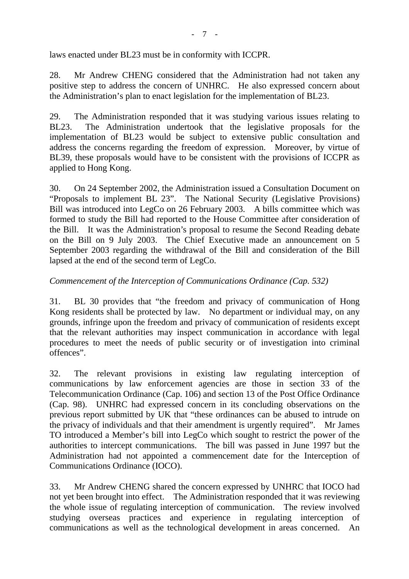laws enacted under BL23 must be in conformity with ICCPR.

28. Mr Andrew CHENG considered that the Administration had not taken any positive step to address the concern of UNHRC. He also expressed concern about the Administration's plan to enact legislation for the implementation of BL23.

29. The Administration responded that it was studying various issues relating to BL23. The Administration undertook that the legislative proposals for the implementation of BL23 would be subject to extensive public consultation and address the concerns regarding the freedom of expression. Moreover, by virtue of BL39, these proposals would have to be consistent with the provisions of ICCPR as applied to Hong Kong.

30. On 24 September 2002, the Administration issued a Consultation Document on "Proposals to implement BL 23". The National Security (Legislative Provisions) Bill was introduced into LegCo on 26 February 2003. A bills committee which was formed to study the Bill had reported to the House Committee after consideration of the Bill. It was the Administration's proposal to resume the Second Reading debate on the Bill on 9 July 2003. The Chief Executive made an announcement on 5 September 2003 regarding the withdrawal of the Bill and consideration of the Bill lapsed at the end of the second term of LegCo.

## *Commencement of the Interception of Communications Ordinance (Cap. 532)*

31. BL 30 provides that "the freedom and privacy of communication of Hong Kong residents shall be protected by law. No department or individual may, on any grounds, infringe upon the freedom and privacy of communication of residents except that the relevant authorities may inspect communication in accordance with legal procedures to meet the needs of public security or of investigation into criminal offences".

32. The relevant provisions in existing law regulating interception of communications by law enforcement agencies are those in section 33 of the Telecommunication Ordinance (Cap. 106) and section 13 of the Post Office Ordinance (Cap. 98). UNHRC had expressed concern in its concluding observations on the previous report submitted by UK that "these ordinances can be abused to intrude on the privacy of individuals and that their amendment is urgently required". Mr James TO introduced a Member's bill into LegCo which sought to restrict the power of the authorities to intercept communications. The bill was passed in June 1997 but the Administration had not appointed a commencement date for the Interception of Communications Ordinance (IOCO).

33. Mr Andrew CHENG shared the concern expressed by UNHRC that IOCO had not yet been brought into effect. The Administration responded that it was reviewing the whole issue of regulating interception of communication. The review involved studying overseas practices and experience in regulating interception of communications as well as the technological development in areas concerned. An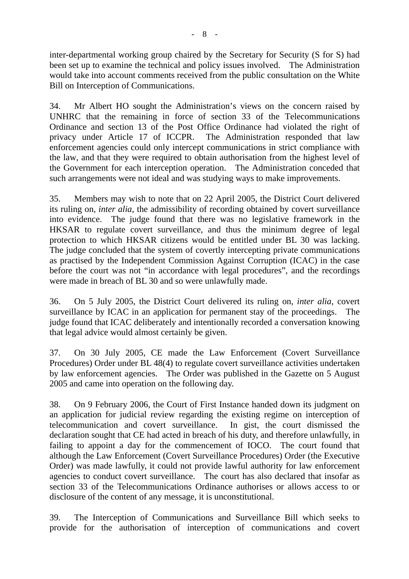inter-departmental working group chaired by the Secretary for Security (S for S) had been set up to examine the technical and policy issues involved. The Administration would take into account comments received from the public consultation on the White Bill on Interception of Communications.

34. Mr Albert HO sought the Administration's views on the concern raised by UNHRC that the remaining in force of section 33 of the Telecommunications Ordinance and section 13 of the Post Office Ordinance had violated the right of privacy under Article 17 of ICCPR. The Administration responded that law enforcement agencies could only intercept communications in strict compliance with the law, and that they were required to obtain authorisation from the highest level of the Government for each interception operation. The Administration conceded that such arrangements were not ideal and was studying ways to make improvements.

35. Members may wish to note that on 22 April 2005, the District Court delivered its ruling on, *inter alia*, the admissibility of recording obtained by covert surveillance into evidence. The judge found that there was no legislative framework in the HKSAR to regulate covert surveillance, and thus the minimum degree of legal protection to which HKSAR citizens would be entitled under BL 30 was lacking. The judge concluded that the system of covertly intercepting private communications as practised by the Independent Commission Against Corruption (ICAC) in the case before the court was not "in accordance with legal procedures", and the recordings were made in breach of BL 30 and so were unlawfully made.

36. On 5 July 2005, the District Court delivered its ruling on, *inter alia*, covert surveillance by ICAC in an application for permanent stay of the proceedings. The judge found that ICAC deliberately and intentionally recorded a conversation knowing that legal advice would almost certainly be given.

37. On 30 July 2005, CE made the Law Enforcement (Covert Surveillance Procedures) Order under BL 48(4) to regulate covert surveillance activities undertaken by law enforcement agencies. The Order was published in the Gazette on 5 August 2005 and came into operation on the following day.

38. On 9 February 2006, the Court of First Instance handed down its judgment on an application for judicial review regarding the existing regime on interception of telecommunication and covert surveillance. In gist, the court dismissed the declaration sought that CE had acted in breach of his duty, and therefore unlawfully, in failing to appoint a day for the commencement of IOCO. The court found that although the Law Enforcement (Covert Surveillance Procedures) Order (the Executive Order) was made lawfully, it could not provide lawful authority for law enforcement agencies to conduct covert surveillance. The court has also declared that insofar as section 33 of the Telecommunications Ordinance authorises or allows access to or disclosure of the content of any message, it is unconstitutional.

39. The Interception of Communications and Surveillance Bill which seeks to provide for the authorisation of interception of communications and covert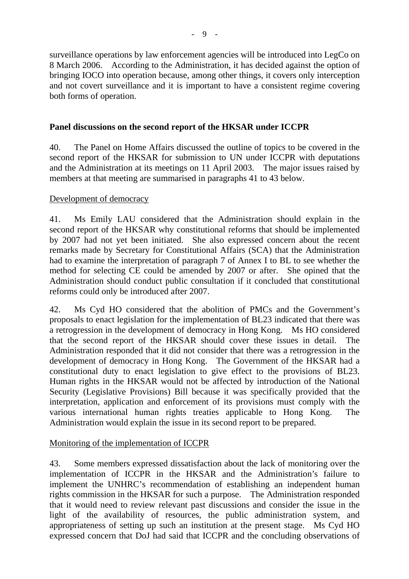surveillance operations by law enforcement agencies will be introduced into LegCo on 8 March 2006. According to the Administration, it has decided against the option of bringing IOCO into operation because, among other things, it covers only interception and not covert surveillance and it is important to have a consistent regime covering both forms of operation.

## **Panel discussions on the second report of the HKSAR under ICCPR**

40. The Panel on Home Affairs discussed the outline of topics to be covered in the second report of the HKSAR for submission to UN under ICCPR with deputations and the Administration at its meetings on 11 April 2003. The major issues raised by members at that meeting are summarised in paragraphs 41 to 43 below.

### Development of democracy

41. Ms Emily LAU considered that the Administration should explain in the second report of the HKSAR why constitutional reforms that should be implemented by 2007 had not yet been initiated. She also expressed concern about the recent remarks made by Secretary for Constitutional Affairs (SCA) that the Administration had to examine the interpretation of paragraph 7 of Annex I to BL to see whether the method for selecting CE could be amended by 2007 or after. She opined that the Administration should conduct public consultation if it concluded that constitutional reforms could only be introduced after 2007.

42. Ms Cyd HO considered that the abolition of PMCs and the Government's proposals to enact legislation for the implementation of BL23 indicated that there was a retrogression in the development of democracy in Hong Kong. Ms HO considered that the second report of the HKSAR should cover these issues in detail. The Administration responded that it did not consider that there was a retrogression in the development of democracy in Hong Kong. The Government of the HKSAR had a constitutional duty to enact legislation to give effect to the provisions of BL23. Human rights in the HKSAR would not be affected by introduction of the National Security (Legislative Provisions) Bill because it was specifically provided that the interpretation, application and enforcement of its provisions must comply with the various international human rights treaties applicable to Hong Kong. The Administration would explain the issue in its second report to be prepared.

## Monitoring of the implementation of ICCPR

43. Some members expressed dissatisfaction about the lack of monitoring over the implementation of ICCPR in the HKSAR and the Administration's failure to implement the UNHRC's recommendation of establishing an independent human rights commission in the HKSAR for such a purpose. The Administration responded that it would need to review relevant past discussions and consider the issue in the light of the availability of resources, the public administration system, and appropriateness of setting up such an institution at the present stage. Ms Cyd HO expressed concern that DoJ had said that ICCPR and the concluding observations of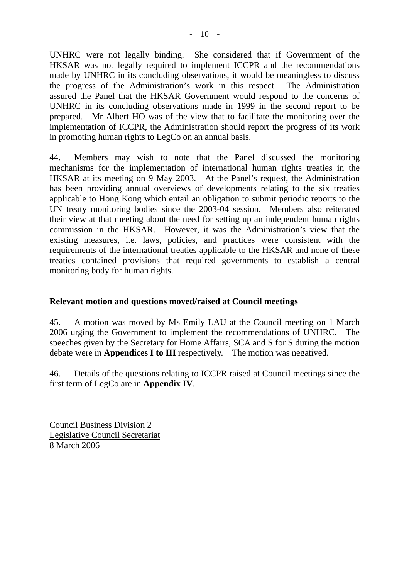UNHRC were not legally binding. She considered that if Government of the HKSAR was not legally required to implement ICCPR and the recommendations made by UNHRC in its concluding observations, it would be meaningless to discuss the progress of the Administration's work in this respect. The Administration assured the Panel that the HKSAR Government would respond to the concerns of UNHRC in its concluding observations made in 1999 in the second report to be prepared. Mr Albert HO was of the view that to facilitate the monitoring over the implementation of ICCPR, the Administration should report the progress of its work in promoting human rights to LegCo on an annual basis.

44. Members may wish to note that the Panel discussed the monitoring mechanisms for the implementation of international human rights treaties in the HKSAR at its meeting on 9 May 2003. At the Panel's request, the Administration has been providing annual overviews of developments relating to the six treaties applicable to Hong Kong which entail an obligation to submit periodic reports to the UN treaty monitoring bodies since the 2003-04 session. Members also reiterated their view at that meeting about the need for setting up an independent human rights commission in the HKSAR. However, it was the Administration's view that the existing measures, i.e. laws, policies, and practices were consistent with the requirements of the international treaties applicable to the HKSAR and none of these treaties contained provisions that required governments to establish a central monitoring body for human rights.

### **Relevant motion and questions moved/raised at Council meetings**

45. A motion was moved by Ms Emily LAU at the Council meeting on 1 March 2006 urging the Government to implement the recommendations of UNHRC. The speeches given by the Secretary for Home Affairs, SCA and S for S during the motion debate were in **Appendices I to III** respectively. The motion was negatived.

46. Details of the questions relating to ICCPR raised at Council meetings since the first term of LegCo are in **Appendix IV**.

Council Business Division 2 Legislative Council Secretariat 8 March 2006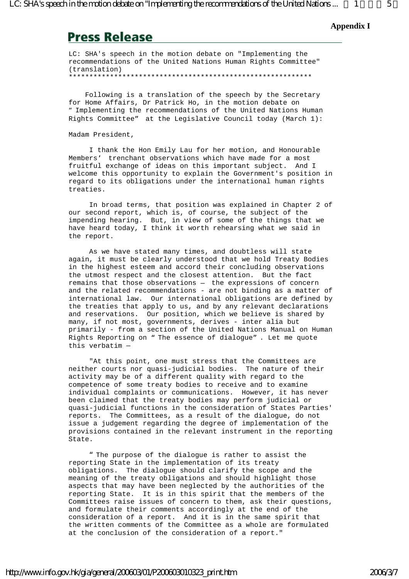#### **Appendix I**

## **Press Release**

LC: SHA's speech in the motion debate on "Implementing the recommendations of the United Nations Human Rights Committee" (translation) \*\*\*\*\*\*\*\*\*\*\*\*\*\*\*\*\*\*\*\*\*\*\*\*\*\*\*\*\*\*\*\*\*\*\*\*\*\*\*\*\*\*\*\*\*\*\*\*\*\*\*\*\*\*\*\*\*\*\*

 Following is a translation of the speech by the Secretary for Home Affairs, Dr Patrick Ho, in the motion debate on "Implementing the recommendations of the United Nations Human Rights Committee" at the Legislative Council today (March 1):

Madam President,

 I thank the Hon Emily Lau for her motion, and Honourable Members' trenchant observations which have made for a most fruitful exchange of ideas on this important subject. And I welcome this opportunity to explain the Government's position in regard to its obligations under the international human rights treaties.

 In broad terms, that position was explained in Chapter 2 of our second report, which is, of course, the subject of the impending hearing. But, in view of some of the things that we have heard today, I think it worth rehearsing what we said in the report.

 As we have stated many times, and doubtless will state again, it must be clearly understood that we hold Treaty Bodies in the highest esteem and accord their concluding observations the utmost respect and the closest attention. But the fact remains that those observations – the expressions of concern and the related recommendations - are not binding as a matter of international law. Our international obligations are defined by the treaties that apply to us, and by any relevant declarations and reservations. Our position, which we believe is shared by many, if not most, governments, derives - inter alia but primarily - from a section of the United Nations Manual on Human Rights Reporting on "The essence of dialogue". Let me quote this verbatim –

"At this point, one must stress that the Committees are neither courts nor quasi-judicial bodies. The nature of their activity may be of a different quality with regard to the competence of some treaty bodies to receive and to examine individual complaints or communications. However, it has never been claimed that the treaty bodies may perform judicial or quasi-judicial functions in the consideration of States Parties' reports. The Committees, as a result of the dialogue, do not issue a judgement regarding the degree of implementation of the provisions contained in the relevant instrument in the reporting State.

 "The purpose of the dialogue is rather to assist the reporting State in the implementation of its treaty obligations. The dialogue should clarify the scope and the meaning of the treaty obligations and should highlight those aspects that may have been neglected by the authorities of the reporting State. It is in this spirit that the members of the Committees raise issues of concern to them, ask their questions, and formulate their comments accordingly at the end of the consideration of a report. And it is in the same spirit that the written comments of the Committee as a whole are formulated at the conclusion of the consideration of a report."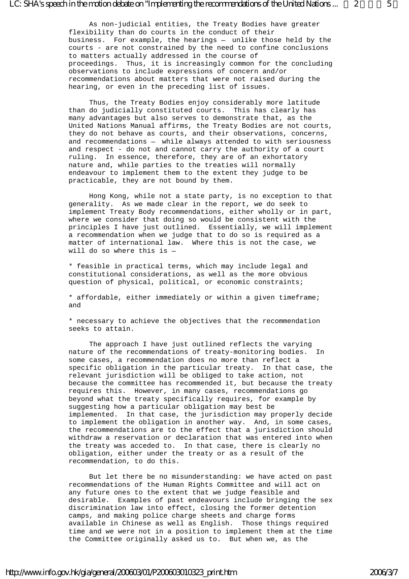As non-judicial entities, the Treaty Bodies have greater flexibility than do courts in the conduct of their business. For example, the hearings – unlike those held by the courts - are not constrained by the need to confine conclusions to matters actually addressed in the course of proceedings. Thus, it is increasingly common for the concluding observations to include expressions of concern and/or recommendations about matters that were not raised during the hearing, or even in the preceding list of issues.

 Thus, the Treaty Bodies enjoy considerably more latitude than do judicially constituted courts. This has clearly has many advantages but also serves to demonstrate that, as the United Nations Manual affirms, the Treaty Bodies are not courts, they do not behave as courts, and their observations, concerns, and recommendations – while always attended to with seriousness and respect - do not and cannot carry the authority of a court ruling. In essence, therefore, they are of an exhortatory nature and, while parties to the treaties will normally endeavour to implement them to the extent they judge to be practicable, they are not bound by them.

 Hong Kong, while not a state party, is no exception to that generality. As we made clear in the report, we do seek to implement Treaty Body recommendations, either wholly or in part, where we consider that doing so would be consistent with the principles I have just outlined. Essentially, we will implement a recommendation when we judge that to do so is required as a matter of international law. Where this is not the case, we will do so where this is –

\* feasible in practical terms, which may include legal and constitutional considerations, as well as the more obvious question of physical, political, or economic constraints;

\* affordable, either immediately or within a given timeframe; and

\* necessary to achieve the objectives that the recommendation seeks to attain.

 The approach I have just outlined reflects the varying nature of the recommendations of treaty-monitoring bodies. In some cases, a recommendation does no more than reflect a specific obligation in the particular treaty. In that case, the relevant jurisdiction will be obliged to take action, not because the committee has recommended it, but because the treaty requires this. However, in many cases, recommendations go beyond what the treaty specifically requires, for example by suggesting how a particular obligation may best be implemented. In that case, the jurisdiction may properly decide to implement the obligation in another way. And, in some cases, the recommendations are to the effect that a jurisdiction should withdraw a reservation or declaration that was entered into when the treaty was acceded to. In that case, there is clearly no obligation, either under the treaty or as a result of the recommendation, to do this.

 But let there be no misunderstanding: we have acted on past recommendations of the Human Rights Committee and will act on any future ones to the extent that we judge feasible and desirable. Examples of past endeavours include bringing the sex discrimination law into effect, closing the former detention camps, and making police charge sheets and charge forms available in Chinese as well as English. Those things required time and we were not in a position to implement them at the time the Committee originally asked us to. But when we, as the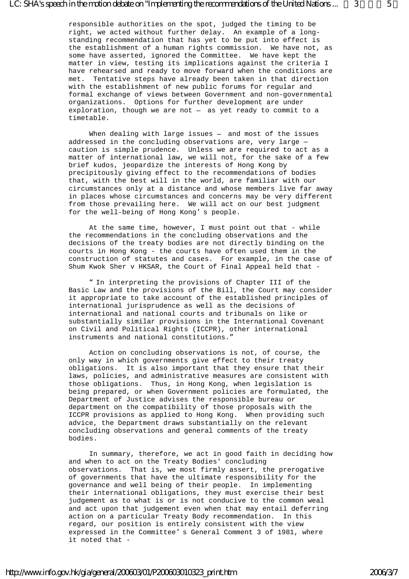responsible authorities on the spot, judged the timing to be right, we acted without further delay. An example of a longstanding recommendation that has yet to be put into effect is the establishment of a human rights commission. We have not, as some have asserted, ignored the Committee. We have kept the matter in view, testing its implications against the criteria I have rehearsed and ready to move forward when the conditions are met. Tentative steps have already been taken in that direction with the establishment of new public forums for regular and formal exchange of views between Government and non-governmental organizations. Options for further development are under exploration, though we are not – as yet ready to commit to a timetable.

 When dealing with large issues – and most of the issues addressed in the concluding observations are, very large – caution is simple prudence. Unless we are required to act as a matter of international law, we will not, for the sake of a few brief kudos, jeopardize the interests of Hong Kong by precipitously giving effect to the recommendations of bodies that, with the best will in the world, are familiar with our circumstances only at a distance and whose members live far away in places whose circumstances and concerns may be very different from those prevailing here. We will act on our best judgment for the well-being of Hong Kong's people.

At the same time, however, I must point out that - while the recommendations in the concluding observations and the decisions of the treaty bodies are not directly binding on the courts in Hong Kong - the courts have often used them in the construction of statutes and cases. For example, in the case of Shum Kwok Sher v HKSAR, the Court of Final Appeal held that -

 "In interpreting the provisions of Chapter III of the Basic Law and the provisions of the Bill, the Court may consider it appropriate to take account of the established principles of international jurisprudence as well as the decisions of international and national courts and tribunals on like or substantially similar provisions in the International Covenant on Civil and Political Rights (ICCPR), other international instruments and national constitutions."

 Action on concluding observations is not, of course, the only way in which governments give effect to their treaty obligations. It is also important that they ensure that their laws, policies, and administrative measures are consistent with those obligations. Thus, in Hong Kong, when legislation is being prepared, or when Government policies are formulated, the Department of Justice advises the responsible bureau or department on the compatibility of those proposals with the ICCPR provisions as applied to Hong Kong. When providing such advice, the Department draws substantially on the relevant concluding observations and general comments of the treaty bodies.

 In summary, therefore, we act in good faith in deciding how and when to act on the Treaty Bodies' concluding observations. That is, we most firmly assert, the prerogative of governments that have the ultimate responsibility for the governance and well being of their people. In implementing their international obligations, they must exercise their best judgement as to what is or is not conducive to the common weal and act upon that judgement even when that may entail deferring action on a particular Treaty Body recommendation. In this regard, our position is entirely consistent with the view expressed in the Committee's General Comment 3 of 1981, where it noted that -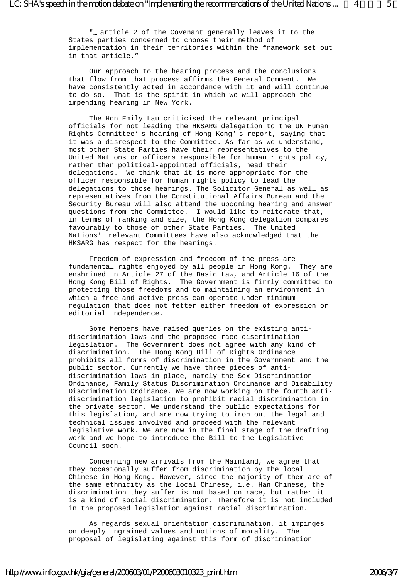"…article 2 of the Covenant generally leaves it to the States parties concerned to choose their method of implementation in their territories within the framework set out in that article."

 Our approach to the hearing process and the conclusions that flow from that process affirms the General Comment. We have consistently acted in accordance with it and will continue to do so. That is the spirit in which we will approach the impending hearing in New York.

 The Hon Emily Lau criticised the relevant principal officials for not leading the HKSARG delegation to the UN Human Rights Committee's hearing of Hong Kong's report, saying that it was a disrespect to the Committee. As far as we understand, most other State Parties have their representatives to the United Nations or officers responsible for human rights policy, rather than political-appointed officials, head their delegations. We think that it is more appropriate for the officer responsible for human rights policy to lead the delegations to those hearings. The Solicitor General as well as representatives from the Constitutional Affairs Bureau and the Security Bureau will also attend the upcoming hearing and answer questions from the Committee. I would like to reiterate that, in terms of ranking and size, the Hong Kong delegation compares favourably to those of other State Parties. The United Nations' relevant Committees have also acknowledged that the HKSARG has respect for the hearings.

 Freedom of expression and freedom of the press are fundamental rights enjoyed by all people in Hong Kong. They are enshrined in Article 27 of the Basic Law, and Article 16 of the Hong Kong Bill of Rights. The Government is firmly committed to protecting those freedoms and to maintaining an environment in which a free and active press can operate under minimum regulation that does not fetter either freedom of expression or editorial independence.

 Some Members have raised queries on the existing antidiscrimination laws and the proposed race discrimination legislation. The Government does not agree with any kind of discrimination. The Hong Kong Bill of Rights Ordinance prohibits all forms of discrimination in the Government and the public sector. Currently we have three pieces of antidiscrimination laws in place, namely the Sex Discrimination Ordinance, Family Status Discrimination Ordinance and Disability Discrimination Ordinance. We are now working on the fourth antidiscrimination legislation to prohibit racial discrimination in the private sector. We understand the public expectations for this legislation, and are now trying to iron out the legal and technical issues involved and proceed with the relevant legislative work. We are now in the final stage of the drafting work and we hope to introduce the Bill to the Legislative Council soon.

 Concerning new arrivals from the Mainland, we agree that they occasionally suffer from discrimination by the local Chinese in Hong Kong. However, since the majority of them are of the same ethnicity as the local Chinese, i.e. Han Chinese, the discrimination they suffer is not based on race, but rather it is a kind of social discrimination. Therefore it is not included in the proposed legislation against racial discrimination.

 As regards sexual orientation discrimination, it impinges on deeply ingrained values and notions of morality. The proposal of legislating against this form of discrimination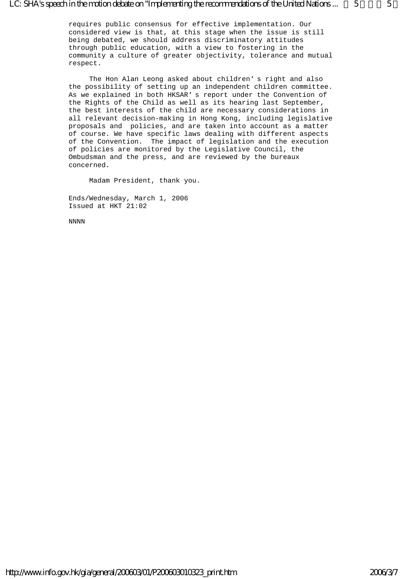requires public consensus for effective implementation. Our considered view is that, at this stage when the issue is still being debated, we should address discriminatory attitudes through public education, with a view to fostering in the community a culture of greater objectivity, tolerance and mutual respect.

 The Hon Alan Leong asked about children's right and also the possibility of setting up an independent children committee. As we explained in both HKSAR's report under the Convention of the Rights of the Child as well as its hearing last September, the best interests of the child are necessary considerations in all relevant decision-making in Hong Kong, including legislative proposals and policies, and are taken into account as a matter of course. We have specific laws dealing with different aspects of the Convention. The impact of legislation and the execution of policies are monitored by the Legislative Council, the Ombudsman and the press, and are reviewed by the bureaux concerned.

Madam President, thank you.

Ends/Wednesday, March 1, 2006 Issued at HKT 21:02

NNNN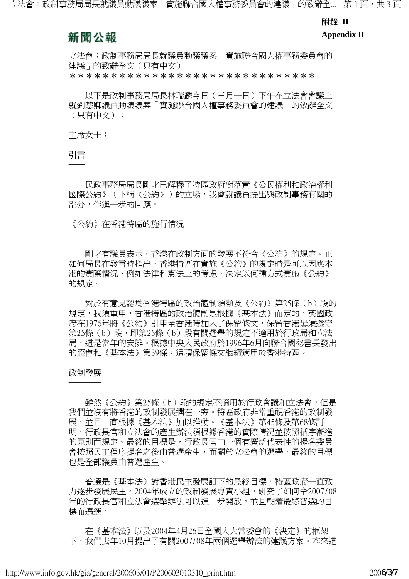#### 附錄 **II**

## 新聞公報

**Appendix II** 

立法會:政制事務局局長就議員動議議案「實施聯合國人權事務委員會的 建議」的致辭全文(只有中文) \*\*\*\*\*\*\*\*\*\*\*\*\*\*\*\*\*\*\*\*\*\*\*\*\*\*\*\*\*\*

 以下是政制事務局局長林瑞麟今日(三月一日)下午在立法會會議上 就劉慧卿議員動議議案「實施聯合國人權事務委員會的建議」的致辭全文 (只有中文):

主席女士:

引言 ──

 民政事務局局長剛才已解釋了特區政府對落實《公民權利和政治權利 國際公約》(下稱《公約》)的立場,我會就議員提出與政制事務有關的 部分,作進一步的回應。

《公約》在香港特區的施行情況 ───────────────────────────────<sup>─</sup>

 剛才有議員表示,香港在政制方面的發展不符合《公約》的規定。正 如何局長在發言時指出,香港特區在實施《公約》的規定時是可以因應本 港的實際情況,例如法律和憲法上的考慮,決定以何種方式實施《公約》 的規定。

 對於有意見認為香港特區的政治體制須顧及《公約》第25條(b)段的 規定,我須重申,香港特區的政治體制是根據《基本法》而定的。英國政 府在1976年將《公約》引申至香港時加入了保留條文,保留香港毋須遵守 第25條(b)段,即第25條(b)段有關選舉的規定不適用於行政局和立法 局,這是當年的安排。根據中央人民政府於1996年6月向聯合國秘書長發出 的照會和《基本法》第39條,這項保留條文繼續適用於香港特區。

#### 政制發展 ────

雖然《公約》第25條(b)段的規定不適用於行政會議和立法會,但是 我們並沒有將香港的政制發展擱在一旁。特區政府非常重視香港的政制發 展,並且一直根據《基本法》加以推動。《基本法》第45條及第68條訂 明,行政長官和立法會的產生辦法須根據香港的實際情況並按照循序漸進 的原則而規定。最終的目標是,行政長官由一個有廣泛代表性的提名委員 會按照民主程序提名之後由普選產生,而關於立法會的選舉,最終的目標 也是全部議員由普選產生。

 普選是《基本法》對香港民主發展訂下的最終目標,特區政府一直致 力逐步發展民主。2004年成立的政制發展專責小組,研究了如何令2007/08 年的行政長官和立法會選舉辦法可以進一步開放,並且朝着最終普選的目 標而邁進。

 在《基本法》以及2004年4月26日全國人大常委會的《決定》的框架 下,我們去年10月提出了有關2007/08年兩個選舉辦法的建議方案。本來這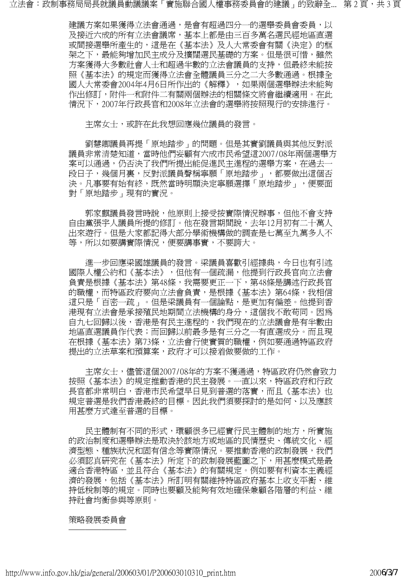立法會:政制事務局局長就議員動議議案「實施聯合國人權事務委員會的建議」的致辭全... 第 2 頁,共 3 頁

建議方案如果獲得立法會通過,是會有超過四分一的選舉委員會委員,以 及接近六成的所有立法會議席,基本上都是由三百多萬名選民經地區直選 或間接選舉所產生的,這是在《基本法》及人大常委會有關《決定》的框 架之下,最能夠增加民主成分及擴闊選民基礎的方案。但是很可惜,雖然 方案獲得大多數社會人士和超過半數的立法會議員的支持,但最終未能按 照《基本法》的規定而獲得立法會全體議員三分之二大多數通過。根據全 國人大常委會2004年4月6日所作出的《解釋》,如果兩個選舉辦法未能夠 作出修訂,附件一和附件二有關兩個辦法的相關條文將會繼續適用。在此 情況下,2007年行政長官和2008年立法會的選舉將按照現行的安排進行。

主席女士,或許在此我想回應幾位議員的發言。

 劉慧卿議員再提「原地踏步」的問題。但是其實劉議員與其他反對派 議員非常清楚知道,當時他們妄顧有六成市民希望這2007/08年兩個選舉方 案可以通過,仍否決了我們所提出能促進民主進程的選舉方案,在過去一 段日子,幾個月裏,反對派議員聲稱寧願「原地踏步」,都要做出這個否 決。凡事要有始有終,既然當時明顯決定寧願選擇「原地踏步」,便要面 對「原地踏步」現有的實況。

 郭家麒議員發言時說,他原則上接受按實際情況辦事,但他不會支持 自由黨張宇人議員所提的修訂。他在發言期間說,去年12月初有二十萬人 出來遊行。但是大家都記得大部分學術機構做的調查是七萬至九萬多人不 等,所以如要講實際情況,便要講事實,不要誇大。

 進一步回應梁國雄議員的發言。梁議員喜歡引經據典,今日也有引述 國際人權公約和《基本法》,但他有一個疏漏,他提到行政長官向立法會 負責是根據《基本法》第48條,我需要更正一下,第48條是講述行政長官 的職權,而特區政府要向立法會負責,是根據《基本法》第64條,我相信 這只是「百密一疏」。但是梁議員有一個論點,是更加有偏差。他提到香 港現有立法會是承接殖民地期間立法機構的身分,這個我不敢苟同。因為 自九七回歸以後,香港是有民主進程的,我們現在的立法議會是有半數由 地區直選議員作代表;而回歸以前最多是有三分之一有直選成分。而且現 在根據《基本法》第73條,立法會行使實質的職權,例如要通過特區政府 提出的立法草案和預算案,政府才可以接着做要做的工作。

主席女士,儘管這個2007/08年的方案不獲通過,特區政府仍然會致力 按照《基本法》的規定推動香港的民主發展。一直以來,特區政府和行政 長官都非常明白,香港市民希望早日見到普選的落實,而且《基本法》也 規定普選是我們香港最終的目標。因此我們須要探討的是如何、以及應該 用甚麼方式達至普選的目標。

 民主體制有不同的形式,環顧很多已經實行民主體制的地方,所實施 的政治制度和選舉辦法是取決於該地方或地區的民情歷史、傳統文化、經 濟型態、種族狀況和固有信念等實際情況。要推動香港的政制發展,我們 必須認真研究在《基本法》所定下的政制發展藍圖之下,用甚麼模式是最 適合香港特區,並且符合《基本法》的有關規定。例如要有利資本主義經 濟的發展,包括《基本法》所訂明有關維持特區政府基本上收支平衡、維 持低稅制等的規定。同時也要顧及能夠有效地確保兼顧各階層的利益、維 持社會均衡參與等原則。

#### 策略發展委員會 ───────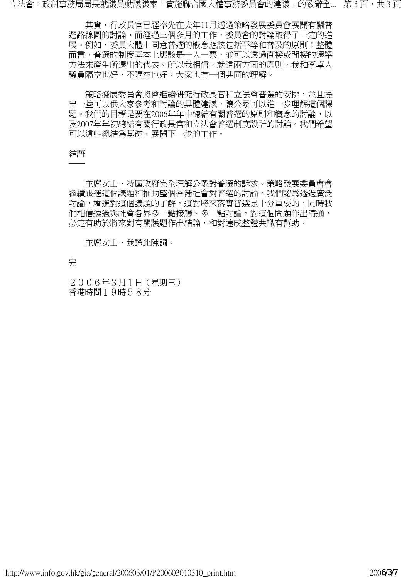立法會:政制事務局局長就議員動議議案「實施聯合國人權事務委員會的建議」的致辭全... 第 3 頁,共 3 頁

 其實,行政長官已經率先在去年11月透過策略發展委員會展開有關普 選路線圖的討論,而經過三個多月的工作,委員會的討論取得了一定的進 展。例如,委員大體上同意普選的概念應該包括平等和普及的原則;整體 而言,普選的制度基本上應該是一人一票,並可以透過直接或間接的選舉 方法來產生所選出的代表。所以我相信,就這兩方面的原則,我和李卓人 議員隔空也好,不隔空也好,大家也有一個共同的理解。

策略發展委員會將會繼續研究行政長官和立法會普選的安排,並且提 出一些可以供大家參考和討論的具體建議,讓公眾可以進一步理解這個課 題。我們的目標是要在2006年年中總結有關普選的原則和概念的討論,以 及2007年年初總結有關行政長官和立法會普選制度設計的討論。我們希望 可以這些總結爲基礎,展開下一步的工作。

#### 結語 ──

 主席女士,特區政府完全理解公眾對普選的訴求。策略發展委員會會 繼續跟淮這個議題和推動整個香港社會對普選的討論。我們認爲透過廣泛 討論,增進對這個議題的了解,這對將來落實普選是十分重要的。同時我 們相信透過與社會各界多一點接觸、多一點討論,對這個問題作出溝通, 必定有助於將來對有關議題作出結論,和對達成整體共識有幫助。

主席女士,我謹此陳詞。

完

2006年3月1日(星期三) 香港時間19時58分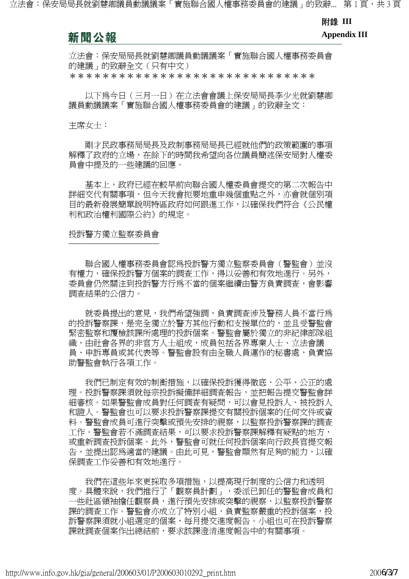#### 附錄 **III**

## 新聞公報

**Appendix III** 

立法會:保安局局長就劉慧卿議員動議議案「實施聯合國人權事務委員會 的建議」的致辭全文(只有中文) \*\*\*\*\*\*\*\*\*\*\*\*\*\*\*\*\*\*\*\*\*\*\*\*\*\*\*\*\*\*

 以下為今日(三月一日)在立法會會議上保安局局長李少光就劉慧卿 議員動議議案「實施聯合國人權事務委員會的建議」的致辭全文:

#### 主席女士:

 剛才民政事務局局長及政制事務局局長已經就他們的政策範圍的事項 解釋了政府的立場,在餘下的時間我希望向各位議員簡述保安局對人權委 員會中提及的一些建議的回應。

基本上,政府已經在較早前向聯合國人權委員會提交的第二次報告中 詳細交代有關事項,但今天我會扼要地重申幾個重點之外,亦會就個別項 目的最新發展簡單說明特區政府如何跟進工作,以確保我們符合《公民權 利和政治權利國際公約》的規定。

投訴警方獨立監察委員會 ───────────

 聯合國人權事務委員會認為投訴警方獨立監察委員會(警監會)並沒 有權力,確保投訴警方個案的調查工作,得以妥善和有效地進行。另外, 委員會仍然關注到投訴警方行為不當的個案繼續由警方負責調查,會影響 調查結果的公信力。

 就委員提出的意見,我們希望強調,負責調查涉及警務人員不當行為 的投訴警察課,是完全獨立於警方其他行動和支援單位的,並且受警監會 緊密監察和覆檢該課所處理的投訴個案。警監會屬於獨立的非紀律部隊組 織,由社會各界的非官方人士組成,成員包括各界專業人士、立法會議 員、申訴專員或其代表等。警監會設有由全職人員運作的秘書處,負責協 助警監會執行各項工作。

 我們已制定有效的制衡措施,以確保投訴獲得徹底、公平、公正的處 理。投訴警察課須就每宗投訴擬備詳細調查報告,並把報告提交警監會詳 細審核。如果警監會成員對任何調查有疑問,可以會見投訴人、被投訴人 和證人。警監會也可以要求投訴警察課提交有關投訴個案的任何文件或資 料。警監會成員可進行突擊或預先安排的視察,以監察投訴警察課的調查 工作。警監會若不滿調査結果,可以要求投訴警察課解釋有疑點的地方, 或重新調查投訴個案。此外,警監會可就任何投訴個案向行政長官提交報 告,並提出認為適當的建議。由此可見,警監會顯然有足夠的能力,以確 保調查工作妥善和有效地進行。

 我們在這些年來更採取多項措施,以提高現行制度的公信力和透明 度。具體來說,我們推行了「觀察員計劃」,委派已卸任的警監會成員和 一些社區領袖擔任觀察員,進行預先安排或突擊的視察,以監察投訴警察 課的調査工作。警監會亦成立了特別小組,負責監察嚴重的投訴個案,投 訴警察課須就小組選定的個案,每月提交進度報告。小組也可在投訴警察 課就調查個案作出總結前,要求該課澄清進度報告中的有關事項。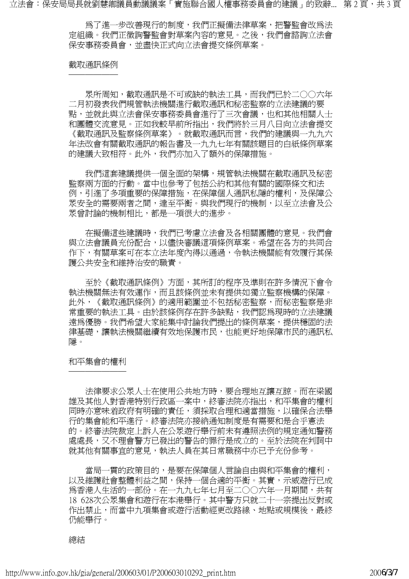立法會:保安局局長就劉慧卿議員動議議案「實施聯合國人權事務委員會的建議」的致辭... 第 2 頁,共 3 頁

為了進一步改善現行的制度,我們正擬備法律草案,把警監會改為法 定組織。我們正徵詢警監會對草案內容的意見。之後,我們會諮詢立法會 保安事務委員會,並盡快正式向立法會提交條例草案。

#### 截取通訊條例 ──────

 眾所周知,截取通訊是不可或缺的執法工具,而我們已於二○○六年 二月初發表我們規管執法機關進行截取通訊和秘密監察的立法建議的要 點,並就此與立法會保安事務委員會進行了三次會議,也和其他相關人士 和團體交流意見。正如我較早前所指出,我們將於三月八日向立法會提交 《截取通訊及監察條例草案》。就截取通訊而言,我們的建議與一九九六 年法改會有關截取通訊的報告書及一九九七年有關該題目的白紙條例草案 的建議大致相符。此外,我們亦加入了額外的保障措施。

我們這套建議提供一個全面的架構,規管執法機關在截取通訊及秘密 監察兩方面的行動。當中也參考了包括公約和其他有關的國際條文和法 例,引淮了多項重要的保障措施,存保障個人通訊私隱的權利,及保障公 眾安全的需要兩者之間,達至平衡。與我們現行的機制,以至立法會及公 眾曾討論的機制相比,都是一項很大的進步。

 在擬備這些建議時,我們已考慮立法會及各相關團體的意見。我們會 與立法會議員充份配合,以儘快審議這項條例草案。希望在各方的共同合 作下,有關草案可在本立法年度內得以通過,令執法機關能有效履行其保 護公共安全和維持治安的職責。

 至於《截取通訊條例》方面,其所訂的程序及準則在許多情況下會令 執法機關無法有效運作,而且該條例並未有提供如獨立監察機構的保障。 此外,《截取通訊條例》的適用範圍並不包括秘密監察,而秘密監察是非 常重要的執法工具。由於該條例存在許多缺點,我們認為現時的立法建議 遠爲優勝。我們希望大家能集中討論我們提出的條例草案,提供穩固的法 律基礎,讓執法機關繼續有效地保護市民,也能更好地保障市民的通訊私 隱。

#### 和平集會的權利 ───────

 法律要求公眾人士在使用公共地方時,要合理地互讓互諒。而在梁國 雄及其他人對香港特別行政區一案中,終審法院亦指出,和平集會的權利 同時亦意味着政府有明確的責任,須採取合理和適當措施,以確保合法舉 行的集會能和平進行。終審法院亦接納通知制度是有需要和是合乎憲法 的。終審法院裁定上訴人在公眾遊行舉行前未有遵照法例的規定通知警務 處處長,又不理會警方已發出的警告的罪行是成立的。至於法院在判詞中 就其他有關事宜的意見,執法人員在其日常職務中亦已予充份參考。

 當局一貫的政策目的,是要在保障個人言論自由與和平集會的權利, 以及維護社會整體利益之間,保持一個合適的平衡。其實,示威遊行已成 為香港人生活的一部份。在一九九七年七月至二○○六年一月期間,共有 18 628次公眾集會和遊行在本港舉行。其中警方只就二十一宗提出反對或 作出禁止,而當中九項集會或游行活動經更改路線、地點或規模後,最終 仍能舉行。

總結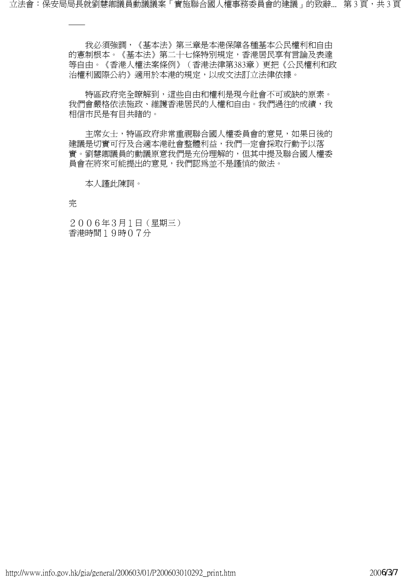立法會:保安局局長就劉慧卿議員動議議案「實施聯合國人權事務委員會的建議」的致辭... 第3頁,共3頁

 我必須強調,《基本法》第三章是本港保障各種基本公民權利和自由 的憲制根本。《基本法》第二十七條特別規定,香港居民享有言論及表達 等自由。《香港人權法案條例》(香港法律第383章)更把《公民權利和政 治權利國際公約》適用於本港的規定,以成文法訂立法律依據。

 特區政府完全瞭解到,這些自由和權利是現今社會不可或缺的原素。 我們會嚴格依法施政、維護香港居民的人權和自由。我們過往的成績,我 相信市民是有目共睹的。

主席女士,特區政府非常重視聯合國人權委員會的意見,如果日後的 建議是切實可行及合適本港社會整體利益,我們一定會採取行動予以落 實。劉慧卿議員的動議原意我們是充份理解的,但其中提及聯合國人權委 員會在將來可能提出的意見,我們認為並不是謹慎的做法。

本人謹此陳詞。

完

──

2006年3月1日(星期三) 香港時間19時07分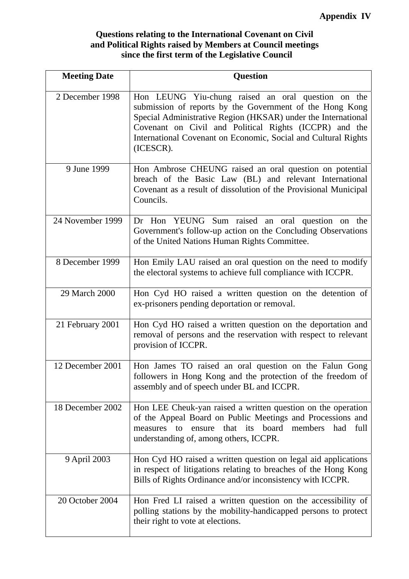## **Questions relating to the International Covenant on Civil and Political Rights raised by Members at Council meetings since the first term of the Legislative Council**

| <b>Meeting Date</b> | <b>Question</b>                                                                                                                                                                                                                                                                                                          |
|---------------------|--------------------------------------------------------------------------------------------------------------------------------------------------------------------------------------------------------------------------------------------------------------------------------------------------------------------------|
| 2 December 1998     | Hon LEUNG Yiu-chung raised an oral question on the<br>submission of reports by the Government of the Hong Kong<br>Special Administrative Region (HKSAR) under the International<br>Covenant on Civil and Political Rights (ICCPR) and the<br>International Covenant on Economic, Social and Cultural Rights<br>(ICESCR). |
| 9 June 1999         | Hon Ambrose CHEUNG raised an oral question on potential<br>breach of the Basic Law (BL) and relevant International<br>Covenant as a result of dissolution of the Provisional Municipal<br>Councils.                                                                                                                      |
| 24 November 1999    | Dr Hon YEUNG Sum raised an oral question on the<br>Government's follow-up action on the Concluding Observations<br>of the United Nations Human Rights Committee.                                                                                                                                                         |
| 8 December 1999     | Hon Emily LAU raised an oral question on the need to modify<br>the electoral systems to achieve full compliance with ICCPR.                                                                                                                                                                                              |
| 29 March 2000       | Hon Cyd HO raised a written question on the detention of<br>ex-prisoners pending deportation or removal.                                                                                                                                                                                                                 |
| 21 February 2001    | Hon Cyd HO raised a written question on the deportation and<br>removal of persons and the reservation with respect to relevant<br>provision of ICCPR.                                                                                                                                                                    |
| 12 December 2001    | Hon James TO raised an oral question on the Falun Gong<br>followers in Hong Kong and the protection of the freedom of<br>assembly and of speech under BL and ICCPR.                                                                                                                                                      |
| 18 December 2002    | Hon LEE Cheuk-yan raised a written question on the operation<br>of the Appeal Board on Public Meetings and Processions and<br>that its board members<br>had<br>ensure<br>full<br>measures to<br>understanding of, among others, ICCPR.                                                                                   |
| 9 April 2003        | Hon Cyd HO raised a written question on legal aid applications<br>in respect of litigations relating to breaches of the Hong Kong<br>Bills of Rights Ordinance and/or inconsistency with ICCPR.                                                                                                                          |
| 20 October 2004     | Hon Fred LI raised a written question on the accessibility of<br>polling stations by the mobility-handicapped persons to protect<br>their right to vote at elections.                                                                                                                                                    |